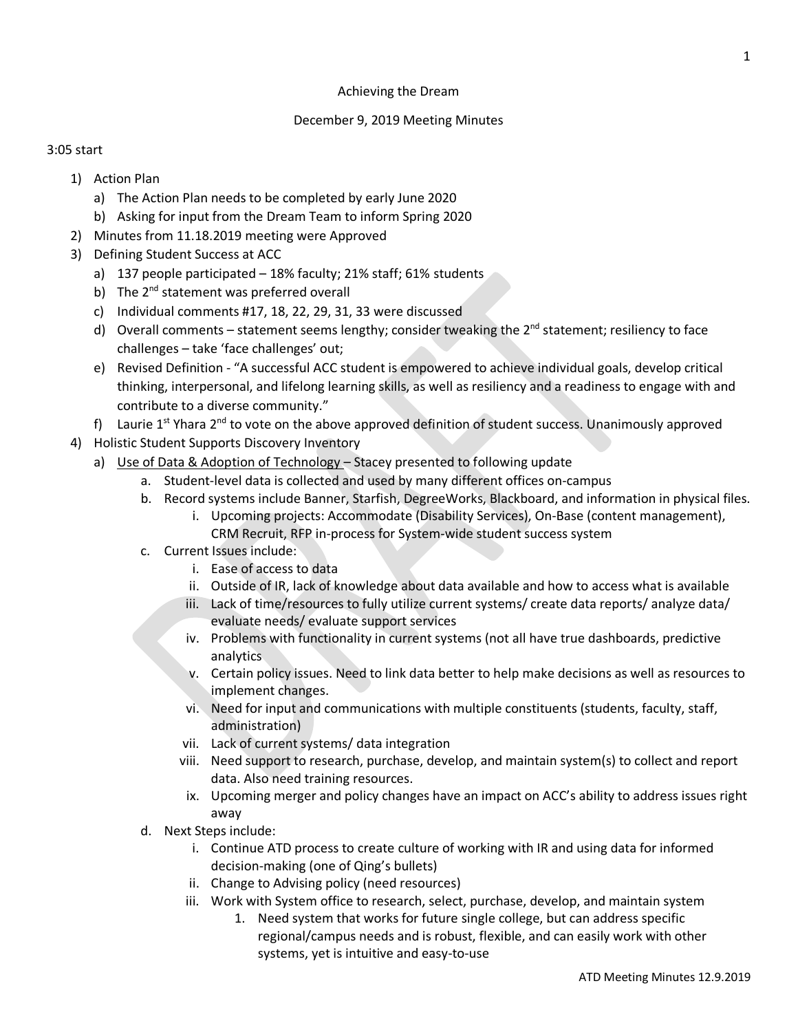## Achieving the Dream

## December 9, 2019 Meeting Minutes

## 3:05 start

- 1) Action Plan
	- a) The Action Plan needs to be completed by early June 2020
	- b) Asking for input from the Dream Team to inform Spring 2020
- 2) Minutes from 11.18.2019 meeting were Approved
- 3) Defining Student Success at ACC
	- a) 137 people participated 18% faculty; 21% staff; 61% students
	- b) The  $2^{nd}$  statement was preferred overall
	- c) Individual comments #17, 18, 22, 29, 31, 33 were discussed
	- d) Overall comments statement seems lengthy; consider tweaking the 2<sup>nd</sup> statement; resiliency to face challenges – take 'face challenges' out;
	- e) Revised Definition "A successful ACC student is empowered to achieve individual goals, develop critical thinking, interpersonal, and lifelong learning skills, as well as resiliency and a readiness to engage with and contribute to a diverse community."
	- f) Laurie  $1^{st}$  Yhara  $2^{nd}$  to vote on the above approved definition of student success. Unanimously approved
- 4) Holistic Student Supports Discovery Inventory
	- a) Use of Data & Adoption of Technology Stacey presented to following update
		- a. Student-level data is collected and used by many different offices on-campus
		- b. Record systems include Banner, Starfish, DegreeWorks, Blackboard, and information in physical files.
			- i. Upcoming projects: Accommodate (Disability Services), On-Base (content management), CRM Recruit, RFP in-process for System-wide student success system
		- c. Current Issues include:
			- i. Ease of access to data
			- ii. Outside of IR, lack of knowledge about data available and how to access what is available
			- iii. Lack of time/resources to fully utilize current systems/ create data reports/ analyze data/ evaluate needs/ evaluate support services
			- iv. Problems with functionality in current systems (not all have true dashboards, predictive analytics
			- v. Certain policy issues. Need to link data better to help make decisions as well as resources to implement changes.
			- vi. Need for input and communications with multiple constituents (students, faculty, staff, administration)
			- vii. Lack of current systems/ data integration
			- viii. Need support to research, purchase, develop, and maintain system(s) to collect and report data. Also need training resources.
			- ix. Upcoming merger and policy changes have an impact on ACC's ability to address issues right away
		- d. Next Steps include:
			- i. Continue ATD process to create culture of working with IR and using data for informed decision-making (one of Qing's bullets)
			- ii. Change to Advising policy (need resources)
			- iii. Work with System office to research, select, purchase, develop, and maintain system
				- 1. Need system that works for future single college, but can address specific regional/campus needs and is robust, flexible, and can easily work with other systems, yet is intuitive and easy-to-use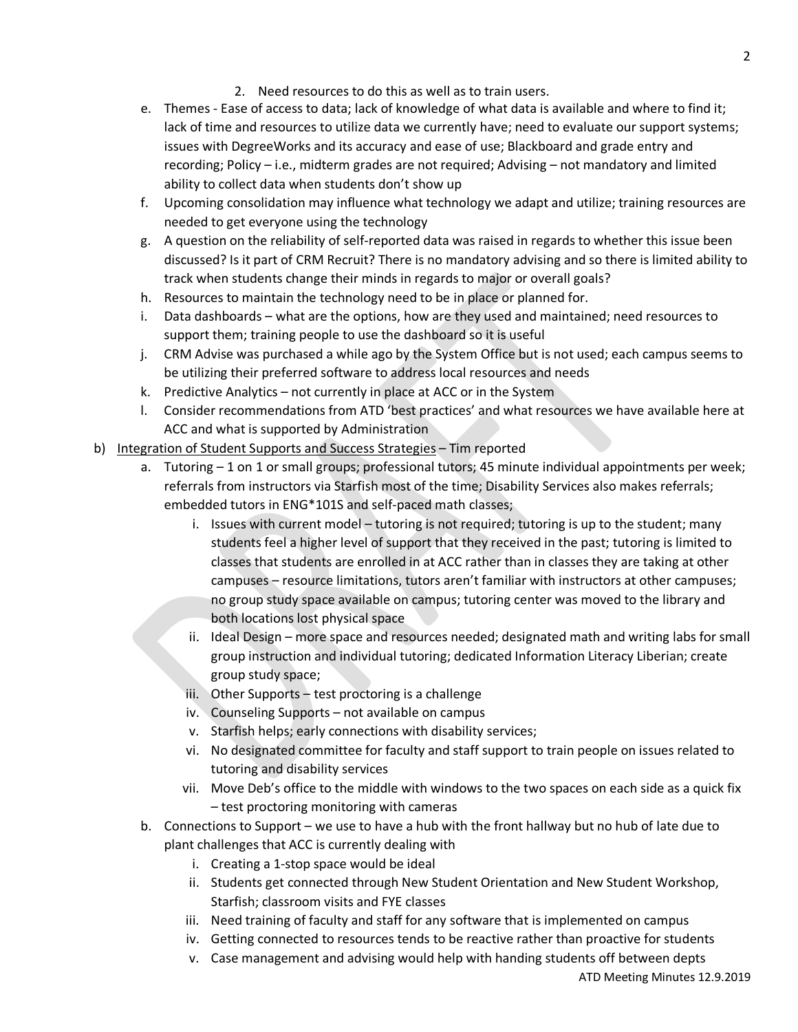- 2. Need resources to do this as well as to train users.
- e. Themes Ease of access to data; lack of knowledge of what data is available and where to find it; lack of time and resources to utilize data we currently have; need to evaluate our support systems; issues with DegreeWorks and its accuracy and ease of use; Blackboard and grade entry and recording; Policy – i.e., midterm grades are not required; Advising – not mandatory and limited ability to collect data when students don't show up
- f. Upcoming consolidation may influence what technology we adapt and utilize; training resources are needed to get everyone using the technology
- g. A question on the reliability of self-reported data was raised in regards to whether this issue been discussed? Is it part of CRM Recruit? There is no mandatory advising and so there is limited ability to track when students change their minds in regards to major or overall goals?
- h. Resources to maintain the technology need to be in place or planned for.
- i. Data dashboards what are the options, how are they used and maintained; need resources to support them; training people to use the dashboard so it is useful
- j. CRM Advise was purchased a while ago by the System Office but is not used; each campus seems to be utilizing their preferred software to address local resources and needs
- k. Predictive Analytics not currently in place at ACC or in the System
- l. Consider recommendations from ATD 'best practices' and what resources we have available here at ACC and what is supported by Administration
- b) Integration of Student Supports and Success Strategies Tim reported
	- a. Tutoring 1 on 1 or small groups; professional tutors; 45 minute individual appointments per week; referrals from instructors via Starfish most of the time; Disability Services also makes referrals; embedded tutors in ENG\*101S and self-paced math classes;
		- i. Issues with current model tutoring is not required; tutoring is up to the student; many students feel a higher level of support that they received in the past; tutoring is limited to classes that students are enrolled in at ACC rather than in classes they are taking at other campuses – resource limitations, tutors aren't familiar with instructors at other campuses; no group study space available on campus; tutoring center was moved to the library and both locations lost physical space
		- ii. Ideal Design more space and resources needed; designated math and writing labs for small group instruction and individual tutoring; dedicated Information Literacy Liberian; create group study space;
		- iii. Other Supports test proctoring is a challenge
		- iv. Counseling Supports not available on campus
		- v. Starfish helps; early connections with disability services;
		- vi. No designated committee for faculty and staff support to train people on issues related to tutoring and disability services
		- vii. Move Deb's office to the middle with windows to the two spaces on each side as a quick fix – test proctoring monitoring with cameras
	- b. Connections to Support we use to have a hub with the front hallway but no hub of late due to plant challenges that ACC is currently dealing with
		- i. Creating a 1-stop space would be ideal
		- ii. Students get connected through New Student Orientation and New Student Workshop, Starfish; classroom visits and FYE classes
		- iii. Need training of faculty and staff for any software that is implemented on campus
		- iv. Getting connected to resources tends to be reactive rather than proactive for students
		- v. Case management and advising would help with handing students off between depts